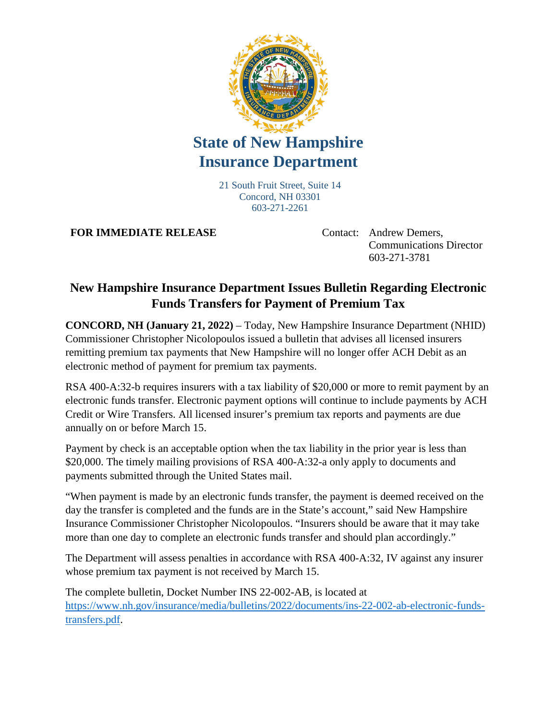

## **State of New Hampshire Insurance Department**

21 South Fruit Street, Suite 14 Concord, NH 03301 603-271-2261

**FOR IMMEDIATE RELEASE** Contact: Andrew Demers,

Communications Director 603-271-3781

## **New Hampshire Insurance Department Issues Bulletin Regarding Electronic Funds Transfers for Payment of Premium Tax**

**CONCORD, NH (January 21, 2022)** – Today, New Hampshire Insurance Department (NHID) Commissioner Christopher Nicolopoulos issued a bulletin that advises all licensed insurers remitting premium tax payments that New Hampshire will no longer offer ACH Debit as an electronic method of payment for premium tax payments.

RSA 400-A:32-b requires insurers with a tax liability of \$20,000 or more to remit payment by an electronic funds transfer. Electronic payment options will continue to include payments by ACH Credit or Wire Transfers. All licensed insurer's premium tax reports and payments are due annually on or before March 15.

Payment by check is an acceptable option when the tax liability in the prior year is less than \$20,000. The timely mailing provisions of RSA 400-A:32-a only apply to documents and payments submitted through the United States mail.

"When payment is made by an electronic funds transfer, the payment is deemed received on the day the transfer is completed and the funds are in the State's account," said New Hampshire Insurance Commissioner Christopher Nicolopoulos. "Insurers should be aware that it may take more than one day to complete an electronic funds transfer and should plan accordingly."

The Department will assess penalties in accordance with RSA 400-A:32, IV against any insurer whose premium tax payment is not received by March 15.

The complete bulletin, Docket Number INS 22-002-AB, is located at [https://www.nh.gov/insurance/media/bulletins/2022/documents/ins-22-002-ab-electronic-funds](https://www.nh.gov/insurance/media/bulletins/2022/documents/ins-22-002-ab-electronic-funds-transfers.pdf)[transfers.pdf.](https://www.nh.gov/insurance/media/bulletins/2022/documents/ins-22-002-ab-electronic-funds-transfers.pdf)